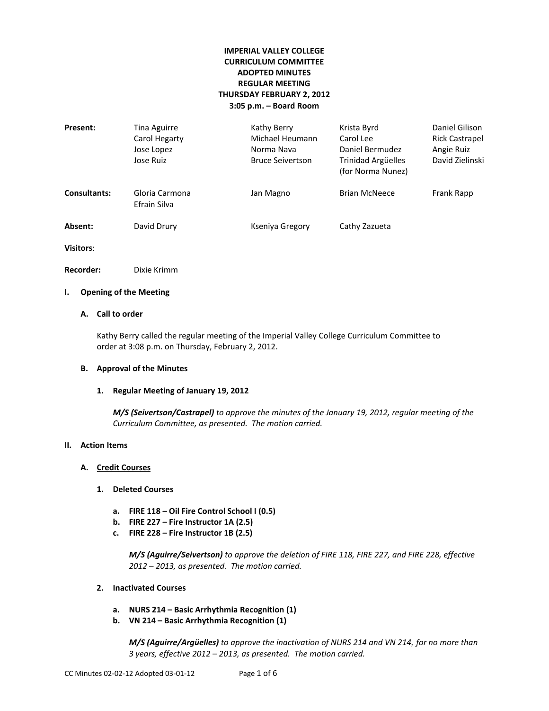# **IMPERIAL VALLEY COLLEGE CURRICULUM COMMITTEE ADOPTED MINUTES REGULAR MEETING THURSDAY FEBRUARY 2, 2012 3:05 p.m. – Board Room**

| Present:     | Tina Aguirre<br>Carol Hegarty<br>Jose Lopez<br>Jose Ruiz | Kathy Berry<br>Michael Heumann<br>Norma Nava<br><b>Bruce Seivertson</b> | Krista Byrd<br>Carol Lee<br>Daniel Bermudez<br>Trinidad Argüelles<br>(for Norma Nunez) | Daniel Gilison<br><b>Rick Castrapel</b><br>Angie Ruiz<br>David Zielinski |
|--------------|----------------------------------------------------------|-------------------------------------------------------------------------|----------------------------------------------------------------------------------------|--------------------------------------------------------------------------|
| Consultants: | Gloria Carmona<br>Efrain Silva                           | Jan Magno                                                               | <b>Brian McNeece</b>                                                                   | Frank Rapp                                                               |
| Absent:      | David Drury                                              | Kseniya Gregory                                                         | Cathy Zazueta                                                                          |                                                                          |

**Visitors**:

**Recorder:** Dixie Krimm

# **I. Opening of the Meeting**

# **A. Call to order**

Kathy Berry called the regular meeting of the Imperial Valley College Curriculum Committee to order at 3:08 p.m. on Thursday, February 2, 2012.

#### **B. Approval of the Minutes**

#### **1. Regular Meeting of January 19, 2012**

*M/S (Seivertson/Castrapel) to approve the minutes of the January 19, 2012, regular meeting of the Curriculum Committee, as presented. The motion carried.*

#### **II. Action Items**

## **A. Credit Courses**

- **1. Deleted Courses**
	- **a. FIRE 118 – Oil Fire Control School I (0.5)**
	- **b. FIRE 227 – Fire Instructor 1A (2.5)**
	- **c. FIRE 228 – Fire Instructor 1B (2.5)**

*M/S (Aguirre/Seivertson) to approve the deletion of FIRE 118, FIRE 227, and FIRE 228, effective 2012 – 2013, as presented. The motion carried.*

- **2. Inactivated Courses** 
	- **a. NURS 214 – Basic Arrhythmia Recognition (1)**
	- **b. VN 214 – Basic Arrhythmia Recognition (1)**

*M/S (Aguirre/Argüelles) to approve the inactivation of NURS 214 and VN 214, for no more than 3 years, effective 2012 – 2013, as presented. The motion carried.*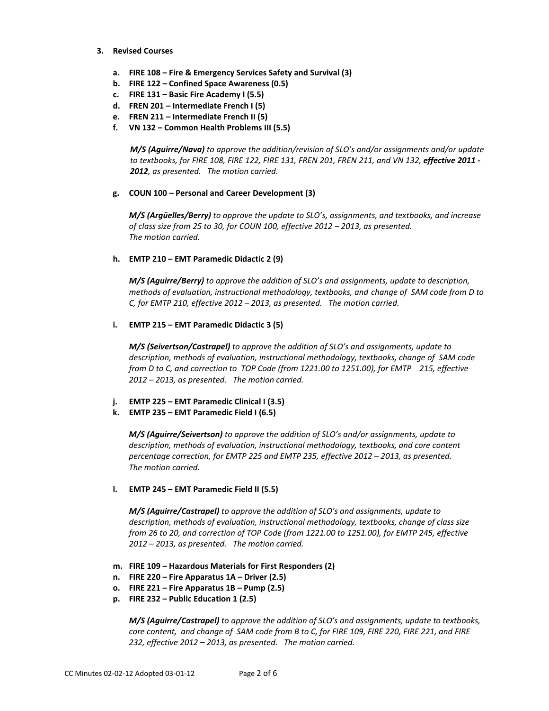- **3. Revised Courses**
	- **a. FIRE 108 – Fire & Emergency Services Safety and Survival (3)**
	- **b. FIRE 122 – Confined Space Awareness (0.5)**
	- **c. FIRE 131 – Basic Fire Academy I (5.5)**
	- **d. FREN 201 – Intermediate French I (5)**
	- **e. FREN 211 – Intermediate French II (5)**
	- **f. VN 132 – Common Health Problems III (5.5)**

*M/S (Aguirre/Nava) to approve the addition/revision of SLO's and/or assignments and/or update*  to textbooks, for FIRE 108, FIRE 122, FIRE 131, FREN 201, FREN 211, and VN 132, effective 2011 -*2012, as presented. The motion carried.*

#### **g. COUN 100 – Personal and Career Development (3)**

*M/S (Argüelles/Berry) to approve the update to SLO's, assignments, and textbooks, and increase of class size from 25 to 30, for COUN 100, effective 2012 – 2013, as presented. The motion carried.*

#### **h. EMTP 210 – EMT Paramedic Didactic 2 (9)**

*M/S (Aguirre/Berry) to approve the addition of SLO's and assignments, update to description, methods of evaluation, instructional methodology, textbooks, and change of SAM code from D to C, for EMTP 210, effective 2012 – 2013, as presented. The motion carried.*

### **i. EMTP 215 – EMT Paramedic Didactic 3 (5)**

*M/S (Seivertson/Castrapel) to approve the addition of SLO's and assignments, update to description, methods of evaluation, instructional methodology, textbooks, change of SAM code from D to C, and correction to TOP Code (from 1221.00 to 1251.00), for EMTP 215, effective 2012 – 2013, as presented. The motion carried.*

- **j. EMTP 225 – EMT Paramedic Clinical I (3.5)**
- **k. EMTP 235 – EMT Paramedic Field I (6.5)**

*M/S (Aguirre/Seivertson) to approve the addition of SLO's and/or assignments, update to description, methods of evaluation, instructional methodology, textbooks, and core content percentage correction, for EMTP 225 and EMTP 235, effective 2012 – 2013, as presented. The motion carried.*

#### **l. EMTP 245 – EMT Paramedic Field II (5.5)**

*M/S (Aguirre/Castrapel) to approve the addition of SLO's and assignments, update to description, methods of evaluation, instructional methodology, textbooks, change of class size from 26 to 20, and correction of TOP Code (from 1221.00 to 1251.00), for EMTP 245, effective 2012 – 2013, as presented. The motion carried.*

- **m. FIRE 109 – Hazardous Materials for First Responders (2)**
- **n. FIRE 220 – Fire Apparatus 1A – Driver (2.5)**
- **o. FIRE 221 – Fire Apparatus 1B – Pump (2.5)**
- **p. FIRE 232 – Public Education 1 (2.5)**

*M/S (Aguirre/Castrapel) to approve the addition of SLO's and assignments, update to textbooks, core content, and change of SAM code from B to C, for FIRE 109, FIRE 220, FIRE 221, and FIRE 232, effective 2012 – 2013, as presented. The motion carried.*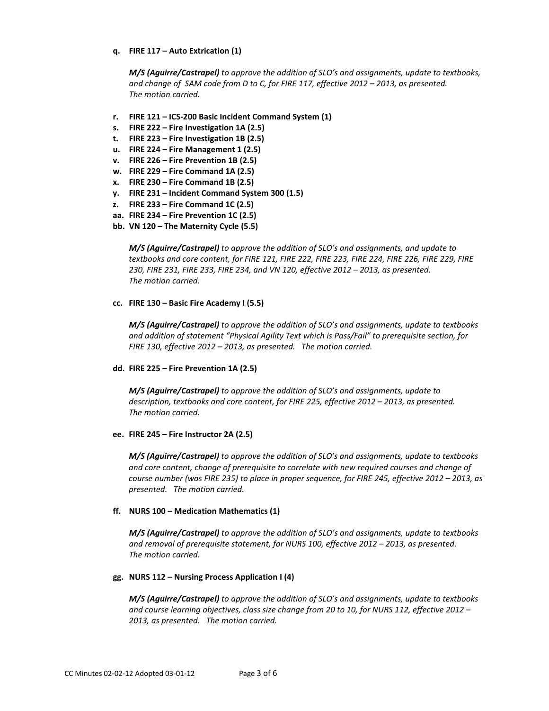## **q. FIRE 117 – Auto Extrication (1)**

*M/S (Aguirre/Castrapel) to approve the addition of SLO's and assignments, update to textbooks, and change of SAM code from D to C, for FIRE 117, effective 2012 – 2013, as presented. The motion carried.*

- **r. FIRE 121 – ICS-200 Basic Incident Command System (1)**
- **s. FIRE 222 – Fire Investigation 1A (2.5)**
- **t. FIRE 223 – Fire Investigation 1B (2.5)**
- **u. FIRE 224 – Fire Management 1 (2.5)**
- **v. FIRE 226 – Fire Prevention 1B (2.5)**
- **w. FIRE 229 – Fire Command 1A (2.5)**
- **x. FIRE 230 – Fire Command 1B (2.5)**
- **y. FIRE 231 – Incident Command System 300 (1.5)**
- **z. FIRE 233 – Fire Command 1C (2.5)**
- **aa. FIRE 234 – Fire Prevention 1C (2.5)**
- **bb. VN 120 – The Maternity Cycle (5.5)**

*M/S (Aguirre/Castrapel) to approve the addition of SLO's and assignments, and update to textbooks and core content, for FIRE 121, FIRE 222, FIRE 223, FIRE 224, FIRE 226, FIRE 229, FIRE 230, FIRE 231, FIRE 233, FIRE 234, and VN 120, effective 2012 – 2013, as presented. The motion carried.*

#### **cc. FIRE 130 – Basic Fire Academy I (5.5)**

*M/S (Aguirre/Castrapel) to approve the addition of SLO's and assignments, update to textbooks and addition of statement "Physical Agility Text which is Pass/Fail" to prerequisite section, for FIRE 130, effective 2012 – 2013, as presented. The motion carried.*

#### **dd. FIRE 225 – Fire Prevention 1A (2.5)**

*M/S (Aguirre/Castrapel) to approve the addition of SLO's and assignments, update to description, textbooks and core content, for FIRE 225, effective 2012 – 2013, as presented. The motion carried.*

#### **ee. FIRE 245 – Fire Instructor 2A (2.5)**

*M/S (Aguirre/Castrapel) to approve the addition of SLO's and assignments, update to textbooks and core content, change of prerequisite to correlate with new required courses and change of course number (was FIRE 235) to place in proper sequence, for FIRE 245, effective 2012 – 2013, as presented. The motion carried.*

#### **ff. NURS 100 – Medication Mathematics (1)**

*M/S (Aguirre/Castrapel) to approve the addition of SLO's and assignments, update to textbooks and removal of prerequisite statement, for NURS 100, effective 2012 – 2013, as presented. The motion carried.*

## **gg. NURS 112 – Nursing Process Application I (4)**

*M/S (Aguirre/Castrapel) to approve the addition of SLO's and assignments, update to textbooks and course learning objectives, class size change from 20 to 10, for NURS 112, effective 2012 – 2013, as presented. The motion carried.*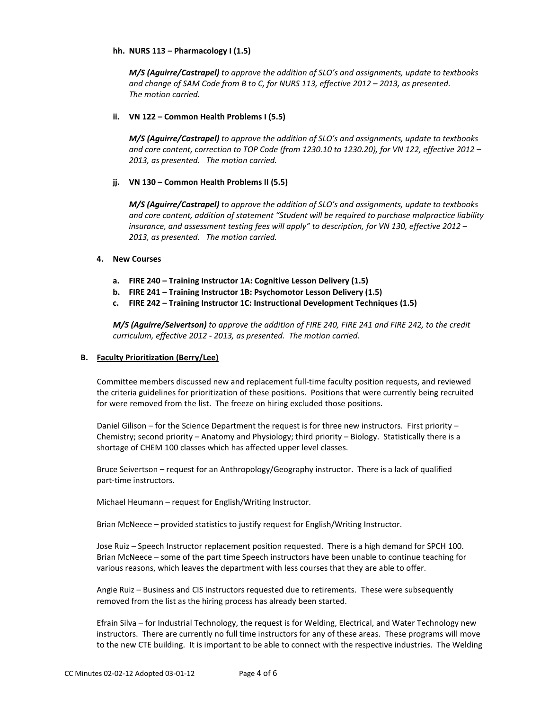## **hh. NURS 113 – Pharmacology I (1.5)**

*M/S (Aguirre/Castrapel) to approve the addition of SLO's and assignments, update to textbooks and change of SAM Code from B to C, for NURS 113, effective 2012 – 2013, as presented. The motion carried.*

## **ii. VN 122 – Common Health Problems I (5.5)**

*M/S (Aguirre/Castrapel) to approve the addition of SLO's and assignments, update to textbooks and core content, correction to TOP Code (from 1230.10 to 1230.20), for VN 122, effective 2012 – 2013, as presented. The motion carried.*

## **jj. VN 130 – Common Health Problems II (5.5)**

*M/S (Aguirre/Castrapel) to approve the addition of SLO's and assignments, update to textbooks and core content, addition of statement "Student will be required to purchase malpractice liability insurance, and assessment testing fees will apply" to description, for VN 130, effective 2012 – 2013, as presented. The motion carried.*

## **4. New Courses**

- **a. FIRE 240 – Training Instructor 1A: Cognitive Lesson Delivery (1.5)**
- **b. FIRE 241 – Training Instructor 1B: Psychomotor Lesson Delivery (1.5)**
- **c. FIRE 242 – Training Instructor 1C: Instructional Development Techniques (1.5)**

*M/S (Aguirre/Seivertson) to approve the addition of FIRE 240, FIRE 241 and FIRE 242, to the credit curriculum, effective 2012 - 2013, as presented. The motion carried.*

#### **B. Faculty Prioritization (Berry/Lee)**

Committee members discussed new and replacement full-time faculty position requests, and reviewed the criteria guidelines for prioritization of these positions. Positions that were currently being recruited for were removed from the list. The freeze on hiring excluded those positions.

Daniel Gilison – for the Science Department the request is for three new instructors. First priority – Chemistry; second priority – Anatomy and Physiology; third priority – Biology. Statistically there is a shortage of CHEM 100 classes which has affected upper level classes.

Bruce Seivertson – request for an Anthropology/Geography instructor. There is a lack of qualified part-time instructors.

Michael Heumann – request for English/Writing Instructor.

Brian McNeece – provided statistics to justify request for English/Writing Instructor.

Jose Ruiz – Speech Instructor replacement position requested. There is a high demand for SPCH 100. Brian McNeece – some of the part time Speech instructors have been unable to continue teaching for various reasons, which leaves the department with less courses that they are able to offer.

Angie Ruiz – Business and CIS instructors requested due to retirements. These were subsequently removed from the list as the hiring process has already been started.

Efrain Silva – for Industrial Technology, the request is for Welding, Electrical, and Water Technology new instructors. There are currently no full time instructors for any of these areas. These programs will move to the new CTE building. It is important to be able to connect with the respective industries. The Welding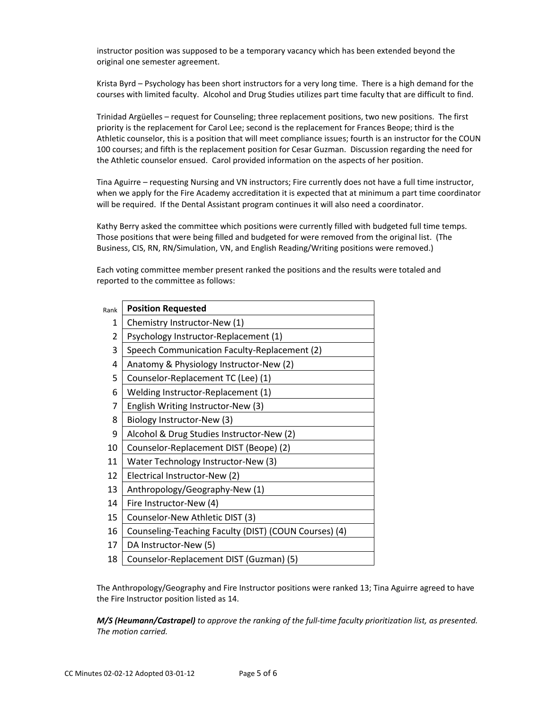instructor position was supposed to be a temporary vacancy which has been extended beyond the original one semester agreement.

Krista Byrd – Psychology has been short instructors for a very long time. There is a high demand for the courses with limited faculty. Alcohol and Drug Studies utilizes part time faculty that are difficult to find.

Trinidad Argüelles – request for Counseling; three replacement positions, two new positions. The first priority is the replacement for Carol Lee; second is the replacement for Frances Beope; third is the Athletic counselor, this is a position that will meet compliance issues; fourth is an instructor for the COUN 100 courses; and fifth is the replacement position for Cesar Guzman. Discussion regarding the need for the Athletic counselor ensued. Carol provided information on the aspects of her position.

Tina Aguirre – requesting Nursing and VN instructors; Fire currently does not have a full time instructor, when we apply for the Fire Academy accreditation it is expected that at minimum a part time coordinator will be required. If the Dental Assistant program continues it will also need a coordinator.

Kathy Berry asked the committee which positions were currently filled with budgeted full time temps. Those positions that were being filled and budgeted for were removed from the original list. (The Business, CIS, RN, RN/Simulation, VN, and English Reading/Writing positions were removed.)

Each voting committee member present ranked the positions and the results were totaled and reported to the committee as follows:

| Rank         | <b>Position Requested</b>                             |
|--------------|-------------------------------------------------------|
| $\mathbf{1}$ | Chemistry Instructor-New (1)                          |
| 2            | Psychology Instructor-Replacement (1)                 |
| 3            | Speech Communication Faculty-Replacement (2)          |
| 4            | Anatomy & Physiology Instructor-New (2)               |
| 5            | Counselor-Replacement TC (Lee) (1)                    |
| 6            | Welding Instructor-Replacement (1)                    |
| 7            | English Writing Instructor-New (3)                    |
| 8            | Biology Instructor-New (3)                            |
| 9            | Alcohol & Drug Studies Instructor-New (2)             |
| 10           | Counselor-Replacement DIST (Beope) (2)                |
| 11           | Water Technology Instructor-New (3)                   |
| 12           | Electrical Instructor-New (2)                         |
| 13           | Anthropology/Geography-New (1)                        |
| 14           | Fire Instructor-New (4)                               |
| 15           | Counselor-New Athletic DIST (3)                       |
| 16           | Counseling-Teaching Faculty (DIST) (COUN Courses) (4) |
| 17           | DA Instructor-New (5)                                 |
| 18           | Counselor-Replacement DIST (Guzman) (5)               |

The Anthropology/Geography and Fire Instructor positions were ranked 13; Tina Aguirre agreed to have the Fire Instructor position listed as 14.

*M/S (Heumann/Castrapel) to approve the ranking of the full-time faculty prioritization list, as presented. The motion carried.*